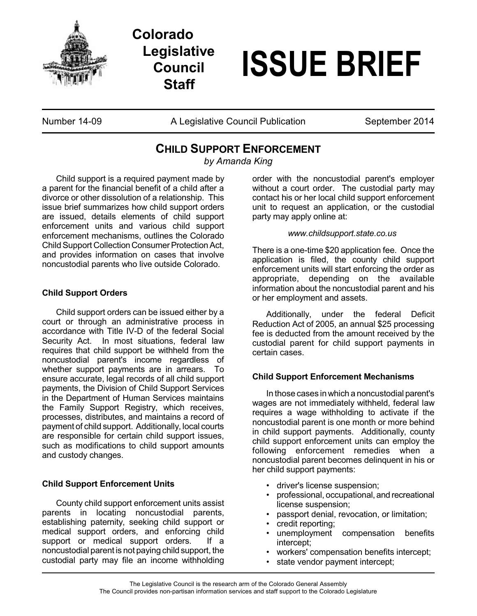

## **Colorado Legislative Council Staff**

# **ISSUE BRIEF**

Number 14-09 **A Legislative Council Publication** September 2014

### **CHILD SUPPORT ENFORCEMENT**

*by Amanda King*

Child support is a required payment made by a parent for the financial benefit of a child after a divorce or other dissolution of a relationship. This issue brief summarizes how child support orders are issued, details elements of child support enforcement units and various child support enforcement mechanisms, outlines the Colorado Child Support Collection Consumer Protection Act, and provides information on cases that involve noncustodial parents who live outside Colorado.

#### **Child Support Orders**

Child support orders can be issued either by a court or through an administrative process in accordance with Title IV-D of the federal Social Security Act. In most situations, federal law requires that child support be withheld from the noncustodial parent's income regardless of whether support payments are in arrears. To ensure accurate, legal records of all child support payments, the Division of Child Support Services in the Department of Human Services maintains the Family Support Registry, which receives, processes, distributes, and maintains a record of payment of child support. Additionally, local courts are responsible for certain child support issues, such as modifications to child support amounts and custody changes.

#### **Child Support Enforcement Units**

County child support enforcement units assist parents in locating noncustodial parents, establishing paternity, seeking child support or medical support orders, and enforcing child support or medical support orders. If a noncustodial parent is not paying child support, the custodial party may file an income withholding

order with the noncustodial parent's employer without a court order. The custodial party may contact his or her local child support enforcement unit to request an application, or the custodial party may apply online at:

#### *www.childsupport.state.co.us*

There is a one-time \$20 application fee. Once the application is filed, the county child support enforcement units will start enforcing the order as appropriate, depending on the available information about the noncustodial parent and his or her employment and assets.

Additionally, under the federal Deficit Reduction Act of 2005, an annual \$25 processing fee is deducted from the amount received by the custodial parent for child support payments in certain cases.

#### **Child Support Enforcement Mechanisms**

In those cases in which a noncustodial parent's wages are not immediately withheld, federal law requires a wage withholding to activate if the noncustodial parent is one month or more behind in child support payments. Additionally, county child support enforcement units can employ the following enforcement remedies when a noncustodial parent becomes delinquent in his or her child support payments:

- driver's license suspension;
- professional, occupational, and recreational license suspension;
- passport denial, revocation, or limitation;
- credit reporting;
- unemployment compensation benefits intercept;
- workers' compensation benefits intercept;
- state vendor payment intercept;